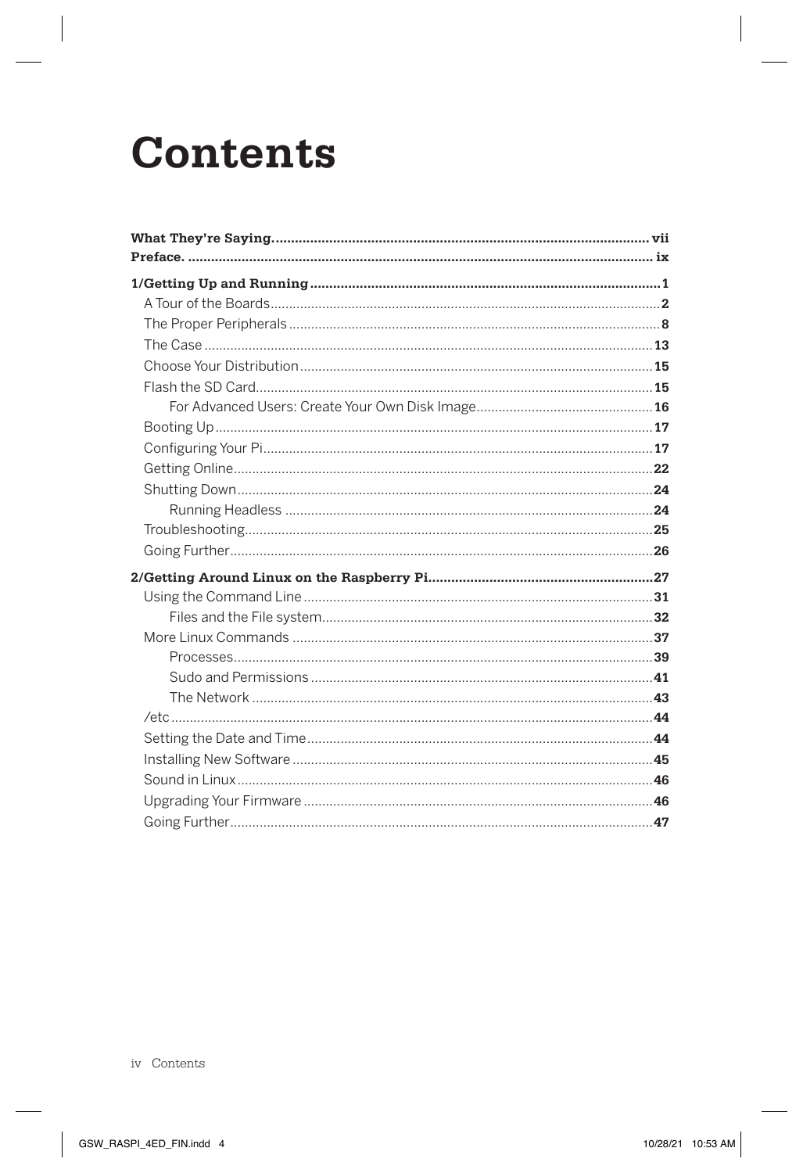## **Contents**